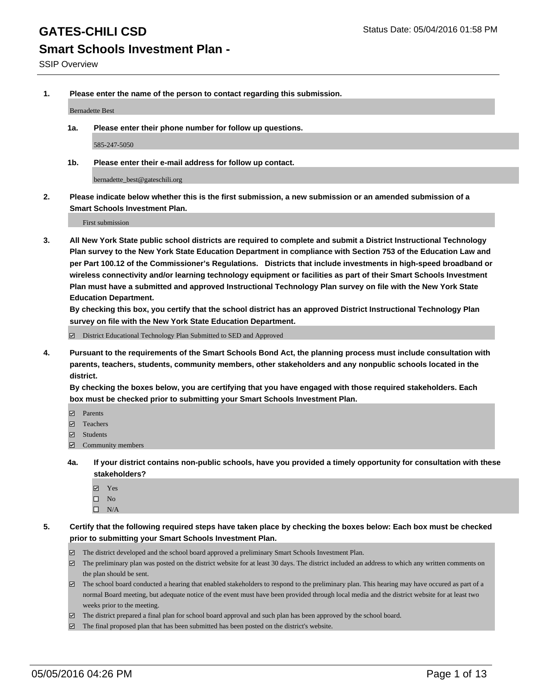**1. Please enter the name of the person to contact regarding this submission.**

Bernadette Best

**1a. Please enter their phone number for follow up questions.**

585-247-5050

**1b. Please enter their e-mail address for follow up contact.**

bernadette\_best@gateschili.org

**2. Please indicate below whether this is the first submission, a new submission or an amended submission of a Smart Schools Investment Plan.**

First submission

**3. All New York State public school districts are required to complete and submit a District Instructional Technology Plan survey to the New York State Education Department in compliance with Section 753 of the Education Law and per Part 100.12 of the Commissioner's Regulations. Districts that include investments in high-speed broadband or wireless connectivity and/or learning technology equipment or facilities as part of their Smart Schools Investment Plan must have a submitted and approved Instructional Technology Plan survey on file with the New York State Education Department.** 

**By checking this box, you certify that the school district has an approved District Instructional Technology Plan survey on file with the New York State Education Department.**

■ District Educational Technology Plan Submitted to SED and Approved

**4. Pursuant to the requirements of the Smart Schools Bond Act, the planning process must include consultation with parents, teachers, students, community members, other stakeholders and any nonpublic schools located in the district.** 

**By checking the boxes below, you are certifying that you have engaged with those required stakeholders. Each box must be checked prior to submitting your Smart Schools Investment Plan.**

- **Parents**
- □ Teachers
- Students
- $\boxdot$  Community members
- **4a. If your district contains non-public schools, have you provided a timely opportunity for consultation with these stakeholders?**
	- Yes
	- $\square$  No
	- $\Box$  N/A
- **5. Certify that the following required steps have taken place by checking the boxes below: Each box must be checked prior to submitting your Smart Schools Investment Plan.**
	- The district developed and the school board approved a preliminary Smart Schools Investment Plan.
	- The preliminary plan was posted on the district website for at least 30 days. The district included an address to which any written comments on the plan should be sent.
	- $\Box$  The school board conducted a hearing that enabled stakeholders to respond to the preliminary plan. This hearing may have occured as part of a normal Board meeting, but adequate notice of the event must have been provided through local media and the district website for at least two weeks prior to the meeting.
	- The district prepared a final plan for school board approval and such plan has been approved by the school board.
	- The final proposed plan that has been submitted has been posted on the district's website.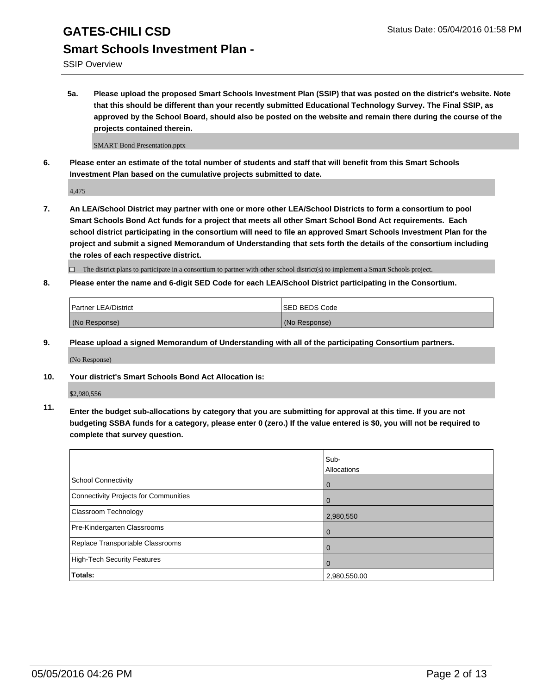SSIP Overview

**5a. Please upload the proposed Smart Schools Investment Plan (SSIP) that was posted on the district's website. Note that this should be different than your recently submitted Educational Technology Survey. The Final SSIP, as approved by the School Board, should also be posted on the website and remain there during the course of the projects contained therein.**

SMART Bond Presentation.pptx

**6. Please enter an estimate of the total number of students and staff that will benefit from this Smart Schools Investment Plan based on the cumulative projects submitted to date.**

4,475

**7. An LEA/School District may partner with one or more other LEA/School Districts to form a consortium to pool Smart Schools Bond Act funds for a project that meets all other Smart School Bond Act requirements. Each school district participating in the consortium will need to file an approved Smart Schools Investment Plan for the project and submit a signed Memorandum of Understanding that sets forth the details of the consortium including the roles of each respective district.**

 $\Box$  The district plans to participate in a consortium to partner with other school district(s) to implement a Smart Schools project.

**8. Please enter the name and 6-digit SED Code for each LEA/School District participating in the Consortium.**

| <b>Partner LEA/District</b> | <b>ISED BEDS Code</b> |
|-----------------------------|-----------------------|
| (No Response)               | (No Response)         |

**9. Please upload a signed Memorandum of Understanding with all of the participating Consortium partners.**

(No Response)

**10. Your district's Smart Schools Bond Act Allocation is:**

\$2,980,556

**11. Enter the budget sub-allocations by category that you are submitting for approval at this time. If you are not budgeting SSBA funds for a category, please enter 0 (zero.) If the value entered is \$0, you will not be required to complete that survey question.**

|                                       | Sub-<br>Allocations |
|---------------------------------------|---------------------|
| School Connectivity                   | $\mathbf 0$         |
| Connectivity Projects for Communities |                     |
| <b>Classroom Technology</b>           | 2,980,550           |
| Pre-Kindergarten Classrooms           | O                   |
| Replace Transportable Classrooms      | $\Omega$            |
| High-Tech Security Features           |                     |
| Totals:                               | 2,980,550.00        |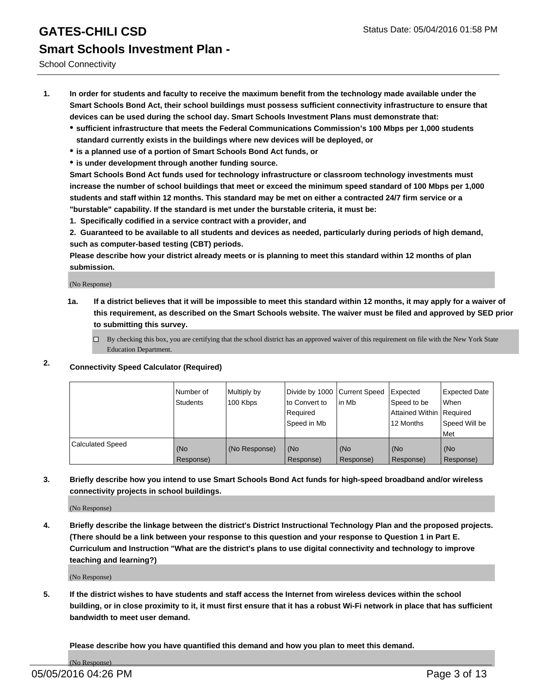School Connectivity

- **1. In order for students and faculty to receive the maximum benefit from the technology made available under the Smart Schools Bond Act, their school buildings must possess sufficient connectivity infrastructure to ensure that devices can be used during the school day. Smart Schools Investment Plans must demonstrate that:**
	- **sufficient infrastructure that meets the Federal Communications Commission's 100 Mbps per 1,000 students standard currently exists in the buildings where new devices will be deployed, or**
	- **is a planned use of a portion of Smart Schools Bond Act funds, or**
	- **is under development through another funding source.**

**Smart Schools Bond Act funds used for technology infrastructure or classroom technology investments must increase the number of school buildings that meet or exceed the minimum speed standard of 100 Mbps per 1,000 students and staff within 12 months. This standard may be met on either a contracted 24/7 firm service or a "burstable" capability. If the standard is met under the burstable criteria, it must be:**

**1. Specifically codified in a service contract with a provider, and**

**2. Guaranteed to be available to all students and devices as needed, particularly during periods of high demand, such as computer-based testing (CBT) periods.**

**Please describe how your district already meets or is planning to meet this standard within 12 months of plan submission.**

(No Response)

- **1a. If a district believes that it will be impossible to meet this standard within 12 months, it may apply for a waiver of this requirement, as described on the Smart Schools website. The waiver must be filed and approved by SED prior to submitting this survey.**
	- □ By checking this box, you are certifying that the school district has an approved waiver of this requirement on file with the New York State Education Department.
- **2. Connectivity Speed Calculator (Required)**

|                         | Number of<br>Students | Multiply by<br>100 Kbps | Divide by 1000 Current Speed<br>to Convert to<br>Reauired<br>Speed in Mb | lin Mb             | Expected<br>Speed to be<br>Attained Within   Required<br>12 Months | <b>Expected Date</b><br>l When<br>Speed Will be<br>l Met |
|-------------------------|-----------------------|-------------------------|--------------------------------------------------------------------------|--------------------|--------------------------------------------------------------------|----------------------------------------------------------|
| <b>Calculated Speed</b> | (No<br>Response)      | (No Response)           | (No<br>Response)                                                         | l (No<br>Response) | (No<br>Response)                                                   | l (No<br>Response)                                       |

#### **3. Briefly describe how you intend to use Smart Schools Bond Act funds for high-speed broadband and/or wireless connectivity projects in school buildings.**

(No Response)

**4. Briefly describe the linkage between the district's District Instructional Technology Plan and the proposed projects. (There should be a link between your response to this question and your response to Question 1 in Part E. Curriculum and Instruction "What are the district's plans to use digital connectivity and technology to improve teaching and learning?)**

(No Response)

**5. If the district wishes to have students and staff access the Internet from wireless devices within the school building, or in close proximity to it, it must first ensure that it has a robust Wi-Fi network in place that has sufficient bandwidth to meet user demand.**

**Please describe how you have quantified this demand and how you plan to meet this demand.**

(No Response)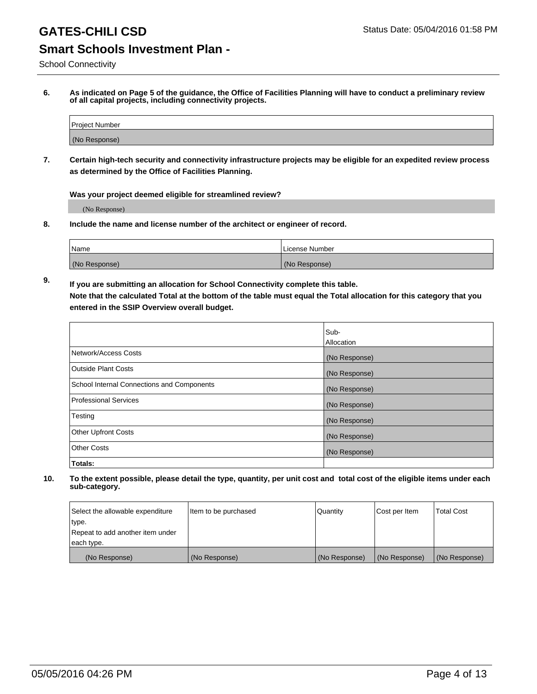School Connectivity

**6. As indicated on Page 5 of the guidance, the Office of Facilities Planning will have to conduct a preliminary review of all capital projects, including connectivity projects.**

| Project Number |  |
|----------------|--|
| (No Response)  |  |

**7. Certain high-tech security and connectivity infrastructure projects may be eligible for an expedited review process as determined by the Office of Facilities Planning.**

**Was your project deemed eligible for streamlined review?**

(No Response)

**8. Include the name and license number of the architect or engineer of record.**

| <sup>1</sup> Name | l License Number |
|-------------------|------------------|
| (No Response)     | (No Response)    |

**9. If you are submitting an allocation for School Connectivity complete this table. Note that the calculated Total at the bottom of the table must equal the Total allocation for this category that you entered in the SSIP Overview overall budget.** 

|                                            | Sub-              |
|--------------------------------------------|-------------------|
|                                            | <b>Allocation</b> |
| Network/Access Costs                       | (No Response)     |
| <b>Outside Plant Costs</b>                 | (No Response)     |
| School Internal Connections and Components | (No Response)     |
| <b>Professional Services</b>               | (No Response)     |
| Testing                                    | (No Response)     |
| <b>Other Upfront Costs</b>                 | (No Response)     |
| <b>Other Costs</b>                         | (No Response)     |
| Totals:                                    |                   |

| Select the allowable expenditure | Item to be purchased | Quantity      | Cost per Item | <b>Total Cost</b> |
|----------------------------------|----------------------|---------------|---------------|-------------------|
| type.                            |                      |               |               |                   |
| Repeat to add another item under |                      |               |               |                   |
| each type.                       |                      |               |               |                   |
| (No Response)                    | (No Response)        | (No Response) | (No Response) | (No Response)     |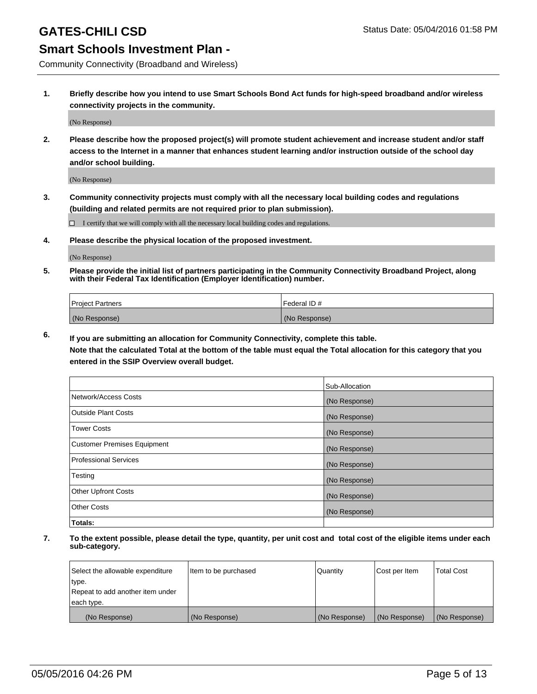Community Connectivity (Broadband and Wireless)

**1. Briefly describe how you intend to use Smart Schools Bond Act funds for high-speed broadband and/or wireless connectivity projects in the community.**

(No Response)

**2. Please describe how the proposed project(s) will promote student achievement and increase student and/or staff access to the Internet in a manner that enhances student learning and/or instruction outside of the school day and/or school building.**

(No Response)

**3. Community connectivity projects must comply with all the necessary local building codes and regulations (building and related permits are not required prior to plan submission).**

 $\Box$  I certify that we will comply with all the necessary local building codes and regulations.

**4. Please describe the physical location of the proposed investment.**

(No Response)

**5. Please provide the initial list of partners participating in the Community Connectivity Broadband Project, along with their Federal Tax Identification (Employer Identification) number.**

| <b>Project Partners</b> | <b>IFederal ID#</b> |
|-------------------------|---------------------|
| (No Response)           | (No Response)       |

**6. If you are submitting an allocation for Community Connectivity, complete this table.**

**Note that the calculated Total at the bottom of the table must equal the Total allocation for this category that you entered in the SSIP Overview overall budget.**

|                             | Sub-Allocation |
|-----------------------------|----------------|
| Network/Access Costs        | (No Response)  |
| Outside Plant Costs         | (No Response)  |
| Tower Costs                 | (No Response)  |
| Customer Premises Equipment | (No Response)  |
| Professional Services       | (No Response)  |
| Testing                     | (No Response)  |
| <b>Other Upfront Costs</b>  | (No Response)  |
| Other Costs                 | (No Response)  |
| Totals:                     |                |

| Select the allowable expenditure | Item to be purchased | l Quantitv    | Cost per Item | <b>Total Cost</b> |
|----------------------------------|----------------------|---------------|---------------|-------------------|
| type.                            |                      |               |               |                   |
| Repeat to add another item under |                      |               |               |                   |
| each type.                       |                      |               |               |                   |
| (No Response)                    | (No Response)        | (No Response) | (No Response) | (No Response)     |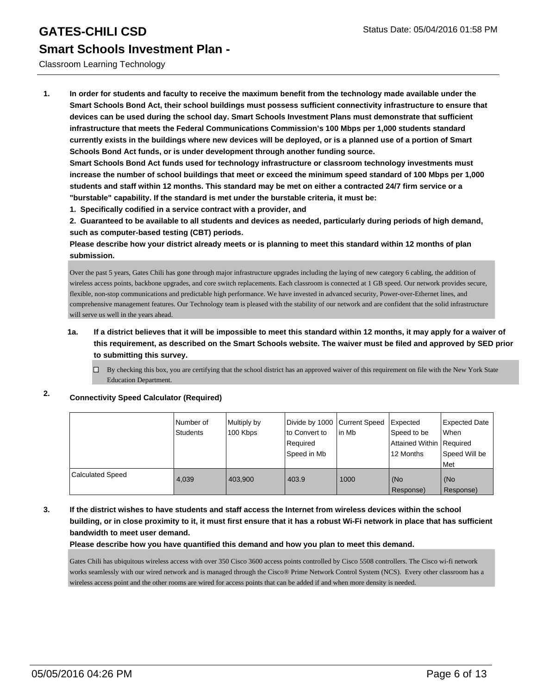#### Classroom Learning Technology

**1. In order for students and faculty to receive the maximum benefit from the technology made available under the Smart Schools Bond Act, their school buildings must possess sufficient connectivity infrastructure to ensure that devices can be used during the school day. Smart Schools Investment Plans must demonstrate that sufficient infrastructure that meets the Federal Communications Commission's 100 Mbps per 1,000 students standard currently exists in the buildings where new devices will be deployed, or is a planned use of a portion of Smart Schools Bond Act funds, or is under development through another funding source.**

**Smart Schools Bond Act funds used for technology infrastructure or classroom technology investments must increase the number of school buildings that meet or exceed the minimum speed standard of 100 Mbps per 1,000 students and staff within 12 months. This standard may be met on either a contracted 24/7 firm service or a "burstable" capability. If the standard is met under the burstable criteria, it must be:**

**1. Specifically codified in a service contract with a provider, and**

**2. Guaranteed to be available to all students and devices as needed, particularly during periods of high demand, such as computer-based testing (CBT) periods.**

**Please describe how your district already meets or is planning to meet this standard within 12 months of plan submission.**

Over the past 5 years, Gates Chili has gone through major infrastructure upgrades including the laying of new category 6 cabling, the addition of wireless access points, backbone upgrades, and core switch replacements. Each classroom is connected at 1 GB speed. Our network provides secure, flexible, non-stop communications and predictable high performance. We have invested in advanced security, Power-over-Ethernet lines, and comprehensive management features. Our Technology team is pleased with the stability of our network and are confident that the solid infrastructure will serve us well in the years ahead.

#### **1a. If a district believes that it will be impossible to meet this standard within 12 months, it may apply for a waiver of this requirement, as described on the Smart Schools website. The waiver must be filed and approved by SED prior to submitting this survey.**

 $\Box$  By checking this box, you are certifying that the school district has an approved waiver of this requirement on file with the New York State Education Department.

#### **2. Connectivity Speed Calculator (Required)**

|                         | l Number of<br>Students | Multiply by<br>100 Kbps | Divide by 1000 Current Speed<br>to Convert to<br>Required<br>Speed in Mb | in Mb | Expected<br>Speed to be<br>Attained Within   Required<br>12 Months | <b>Expected Date</b><br>l When<br>Speed Will be<br>Met |
|-------------------------|-------------------------|-------------------------|--------------------------------------------------------------------------|-------|--------------------------------------------------------------------|--------------------------------------------------------|
| <b>Calculated Speed</b> | 4.039                   | 403.900                 | 403.9                                                                    | 1000  | (No<br>Response)                                                   | l (No<br>Response)                                     |

#### **3. If the district wishes to have students and staff access the Internet from wireless devices within the school building, or in close proximity to it, it must first ensure that it has a robust Wi-Fi network in place that has sufficient bandwidth to meet user demand.**

#### **Please describe how you have quantified this demand and how you plan to meet this demand.**

Gates Chili has ubiquitous wireless access with over 350 Cisco 3600 access points controlled by Cisco 5508 controllers. The Cisco wi-fi network works seamlessly with our wired network and is managed through the Cisco® Prime Network Control System (NCS). Every other classroom has a wireless access point and the other rooms are wired for access points that can be added if and when more density is needed.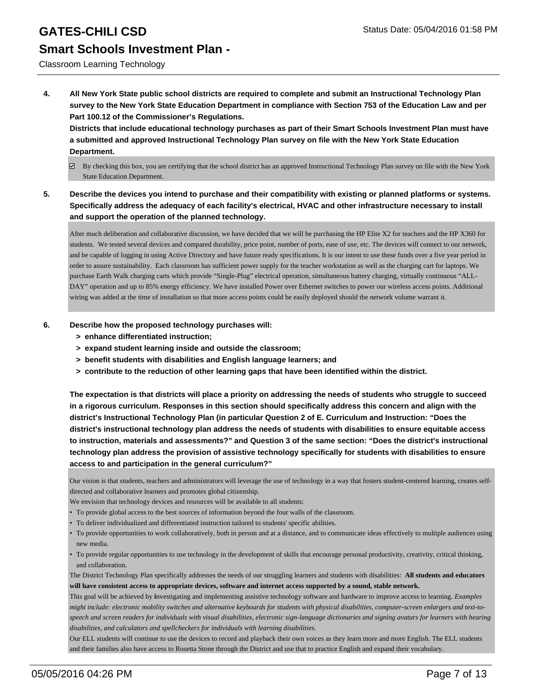#### Classroom Learning Technology

**4. All New York State public school districts are required to complete and submit an Instructional Technology Plan survey to the New York State Education Department in compliance with Section 753 of the Education Law and per Part 100.12 of the Commissioner's Regulations.**

**Districts that include educational technology purchases as part of their Smart Schools Investment Plan must have a submitted and approved Instructional Technology Plan survey on file with the New York State Education Department.**

- $\boxtimes$  By checking this box, you are certifying that the school district has an approved Instructional Technology Plan survey on file with the New York State Education Department.
- **5. Describe the devices you intend to purchase and their compatibility with existing or planned platforms or systems. Specifically address the adequacy of each facility's electrical, HVAC and other infrastructure necessary to install and support the operation of the planned technology.**

After much deliberation and collaborative discussion, we have decided that we will be purchasing the HP Elite X2 for teachers and the HP X360 for students. We tested several devices and compared durability, price point, number of ports, ease of use, etc. The devices will connect to our network, and be capable of logging in using Active Directory and have future ready specifications. It is our intent to use these funds over a five year period in order to assure sustainability. Each classroom has sufficient power supply for the teacher workstation as well as the charging cart for laptops. We purchase Earth Walk charging carts which provide "Single-Plug" electrical operation, simultaneous battery charging, virtually continuous "ALL-DAY" operation and up to 85% energy efficiency. We have installed Power over Ethernet switches to power our wireless access points. Additional wiring was added at the time of installation so that more access points could be easily deployed should the network volume warrant it.

- **6. Describe how the proposed technology purchases will:**
	- **> enhance differentiated instruction;**
	- **> expand student learning inside and outside the classroom;**
	- **> benefit students with disabilities and English language learners; and**
	- **> contribute to the reduction of other learning gaps that have been identified within the district.**

**The expectation is that districts will place a priority on addressing the needs of students who struggle to succeed in a rigorous curriculum. Responses in this section should specifically address this concern and align with the district's Instructional Technology Plan (in particular Question 2 of E. Curriculum and Instruction: "Does the district's instructional technology plan address the needs of students with disabilities to ensure equitable access to instruction, materials and assessments?" and Question 3 of the same section: "Does the district's instructional technology plan address the provision of assistive technology specifically for students with disabilities to ensure access to and participation in the general curriculum?"**

Our vision is that students, teachers and administrators will leverage the use of technology in a way that fosters student-centered learning, creates selfdirected and collaborative learners and promotes global citizenship.

- We envision that technology devices and resources will be available to all students:
- To provide global access to the best sources of information beyond the four walls of the classroom.
- To deliver individualized and differentiated instruction tailored to students' specific abilities.
- To provide opportunities to work collaboratively, both in person and at a distance, and to communicate ideas effectively to multiple audiences using new media.
- To provide regular opportunities to use technology in the development of skills that encourage personal productivity, creativity, critical thinking, and collaboration.

The District Technology Plan specifically addresses the needs of our struggling learners and students with disabilities: **All students and educators will have consistent access to appropriate devices, software and internet access supported by a sound, stable network.**

This goal will be achieved by **i**nvestigating and implementing assistive technology software and hardware to improve access to learning. *Examples might include: electronic mobility switches and alternative keyboards for students with physical disabilities, computer-screen enlargers and text-tospeech and screen readers for individuals with visual disabilities, electronic sign-language dictionaries and signing avatars for learners with hearing disabilities, and calculators and spellcheckers for individuals with learning disabilities.*

Our ELL students will continue to use the devices to record and playback their own voices as they learn more and more English. The ELL students and their families also have access to Rosetta Stone through the District and use that to practice English and expand their vocabulary.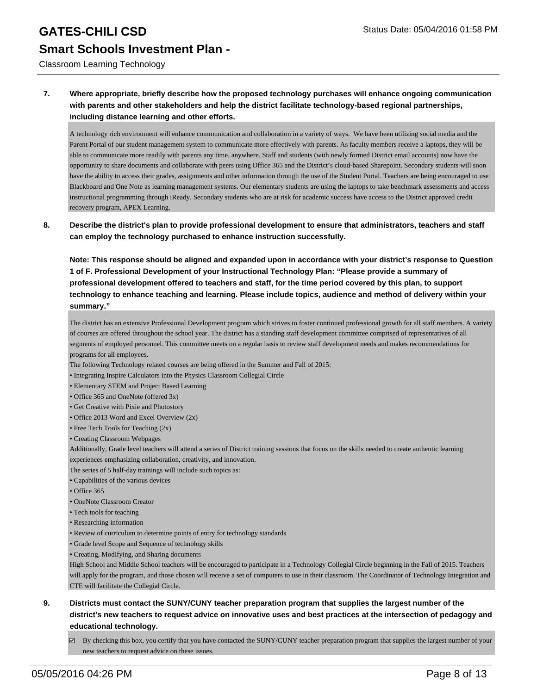Classroom Learning Technology

#### **7. Where appropriate, briefly describe how the proposed technology purchases will enhance ongoing communication with parents and other stakeholders and help the district facilitate technology-based regional partnerships, including distance learning and other efforts.**

A technology rich environment will enhance communication and collaboration in a variety of ways. We have been utilizing social media and the Parent Portal of our student management system to communicate more effectively with parents. As faculty members receive a laptops, they will be able to communicate more readily with parents any time, anywhere. Staff and students (with newly formed District email accounts) now have the opportunity to share documents and collaborate with peers using Office 365 and the District's cloud-based Sharepoint. Secondary students will soon have the ability to access their grades, assignments and other information through the use of the Student Portal. Teachers are being encouraged to use Blackboard and One Note as learning management systems. Our elementary students are using the laptops to take benchmark assessments and access instructional programming through iReady. Secondary students who are at risk for academic success have access to the District approved credit recovery program, APEX Learning.

**8. Describe the district's plan to provide professional development to ensure that administrators, teachers and staff can employ the technology purchased to enhance instruction successfully.**

**Note: This response should be aligned and expanded upon in accordance with your district's response to Question 1 of F. Professional Development of your Instructional Technology Plan: "Please provide a summary of professional development offered to teachers and staff, for the time period covered by this plan, to support technology to enhance teaching and learning. Please include topics, audience and method of delivery within your summary."**

The district has an extensive Professional Development program which strives to foster continued professional growth for all staff members. A variety of courses are offered throughout the school year. The district has a standing staff development committee comprised of representatives of all segments of employed personnel. This committee meets on a regular basis to review staff development needs and makes recommendations for programs for all employees.

- The following Technology related courses are being offered in the Summer and Fall of 2015:
- Integrating Inspire Calculators into the Physics Classroom Collegial Circle
- Elementary STEM and Project Based Learning
- Office 365 and OneNote (offered 3x)
- Get Creative with Pixie and Photostory
- Office 2013 Word and Excel Overview (2x)
- Free Tech Tools for Teaching (2x)
- Creating Classroom Webpages

Additionally, Grade level teachers will attend a series of District training sessions that focus on the skills needed to create authentic learning experiences emphasizing collaboration, creativity, and innovation.

The series of 5 half-day trainings will include such topics as:

- Capabilities of the various devices
- Office 365
- OneNote Classroom Creator
- Tech tools for teaching
- Researching information
- Review of curriculum to determine points of entry for technology standards
- Grade level Scope and Sequence of technology skills
- Creating, Modifying, and Sharing documents

High School and Middle School teachers will be encouraged to participate in a Technology Collegial Circle beginning in the Fall of 2015. Teachers will apply for the program, and those chosen will receive a set of computers to use in their classroom. The Coordinator of Technology Integration and CTE will facilitate the Collegial Circle.

- **9. Districts must contact the SUNY/CUNY teacher preparation program that supplies the largest number of the district's new teachers to request advice on innovative uses and best practices at the intersection of pedagogy and educational technology.**
	- $\boxtimes$  By checking this box, you certify that you have contacted the SUNY/CUNY teacher preparation program that supplies the largest number of your new teachers to request advice on these issues.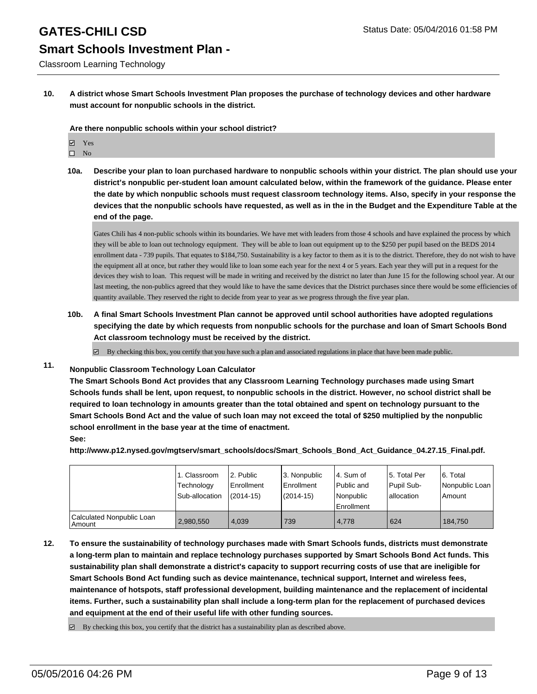Classroom Learning Technology

**10. A district whose Smart Schools Investment Plan proposes the purchase of technology devices and other hardware must account for nonpublic schools in the district.**

**Are there nonpublic schools within your school district?**

- Yes
- $\square$  No
- **10a. Describe your plan to loan purchased hardware to nonpublic schools within your district. The plan should use your district's nonpublic per-student loan amount calculated below, within the framework of the guidance. Please enter the date by which nonpublic schools must request classroom technology items. Also, specify in your response the devices that the nonpublic schools have requested, as well as in the in the Budget and the Expenditure Table at the end of the page.**

Gates Chili has 4 non-public schools within its boundaries. We have met with leaders from those 4 schools and have explained the process by which they will be able to loan out technology equipment. They will be able to loan out equipment up to the \$250 per pupil based on the BEDS 2014 enrollment data - 739 pupils. That equates to \$184,750. Sustainability is a key factor to them as it is to the district. Therefore, they do not wish to have the equipment all at once, but rather they would like to loan some each year for the next 4 or 5 years. Each year they will put in a request for the devices they wish to loan. This request will be made in writing and received by the district no later than June 15 for the following school year. At our last meeting, the non-publics agreed that they would like to have the same devices that the District purchases since there would be some efficiencies of quantity available. They reserved the right to decide from year to year as we progress through the five year plan.

**10b. A final Smart Schools Investment Plan cannot be approved until school authorities have adopted regulations specifying the date by which requests from nonpublic schools for the purchase and loan of Smart Schools Bond Act classroom technology must be received by the district.**

 $\overline{\mathcal{L}}$ By checking this box, you certify that you have such a plan and associated regulations in place that have been made public.

#### **11. Nonpublic Classroom Technology Loan Calculator**

**The Smart Schools Bond Act provides that any Classroom Learning Technology purchases made using Smart Schools funds shall be lent, upon request, to nonpublic schools in the district. However, no school district shall be required to loan technology in amounts greater than the total obtained and spent on technology pursuant to the Smart Schools Bond Act and the value of such loan may not exceed the total of \$250 multiplied by the nonpublic school enrollment in the base year at the time of enactment.**

**See:**

**http://www.p12.nysed.gov/mgtserv/smart\_schools/docs/Smart\_Schools\_Bond\_Act\_Guidance\_04.27.15\_Final.pdf.**

|                                         | 1. Classroom<br>Technology<br>Sub-allocation | 2. Public<br>l Enrollment<br>$(2014-15)$ | 3. Nonpublic<br>Enrollment<br>$(2014 - 15)$ | l 4. Sum of<br>Public and<br>Nonpublic<br>Enrollment | 5. Total Per<br>Pupil Sub-<br>lallocation | 6. Total<br>Nonpublic Loan<br>Amount |
|-----------------------------------------|----------------------------------------------|------------------------------------------|---------------------------------------------|------------------------------------------------------|-------------------------------------------|--------------------------------------|
| Calculated Nonpublic Loan<br>l Amount i | 2,980,550                                    | 4.039                                    | 739                                         | 4.778                                                | 624                                       | 184.750                              |

**12. To ensure the sustainability of technology purchases made with Smart Schools funds, districts must demonstrate a long-term plan to maintain and replace technology purchases supported by Smart Schools Bond Act funds. This sustainability plan shall demonstrate a district's capacity to support recurring costs of use that are ineligible for Smart Schools Bond Act funding such as device maintenance, technical support, Internet and wireless fees, maintenance of hotspots, staff professional development, building maintenance and the replacement of incidental items. Further, such a sustainability plan shall include a long-term plan for the replacement of purchased devices and equipment at the end of their useful life with other funding sources.**

 $\boxtimes$  By checking this box, you certify that the district has a sustainability plan as described above.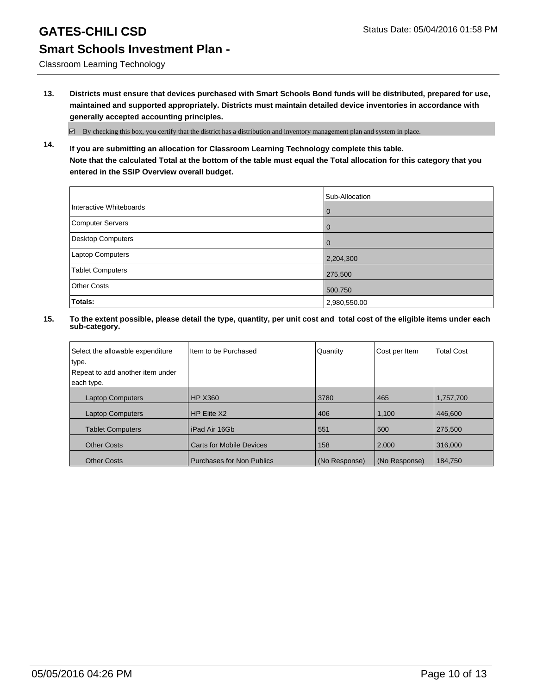Classroom Learning Technology

**13. Districts must ensure that devices purchased with Smart Schools Bond funds will be distributed, prepared for use, maintained and supported appropriately. Districts must maintain detailed device inventories in accordance with generally accepted accounting principles.**

 $\boxtimes$  By checking this box, you certify that the district has a distribution and inventory management plan and system in place.

**14. If you are submitting an allocation for Classroom Learning Technology complete this table. Note that the calculated Total at the bottom of the table must equal the Total allocation for this category that you entered in the SSIP Overview overall budget.**

|                         | Sub-Allocation |
|-------------------------|----------------|
| Interactive Whiteboards | l 0            |
| Computer Servers        | l 0            |
| Desktop Computers       | <u>  O</u>     |
| Laptop Computers        | 2,204,300      |
| <b>Tablet Computers</b> | 275,500        |
| <b>Other Costs</b>      | 500,750        |
| Totals:                 | 2,980,550.00   |

| Select the allowable expenditure<br>type.<br>Repeat to add another item under<br>each type. | Item to be Purchased             | Quantity      | Cost per Item | <b>Total Cost</b> |
|---------------------------------------------------------------------------------------------|----------------------------------|---------------|---------------|-------------------|
| <b>Laptop Computers</b>                                                                     | <b>HP X360</b>                   | 3780          | 465           | 1,757,700         |
| <b>Laptop Computers</b>                                                                     | HP Elite X2                      | 406           | 1,100         | 446,600           |
| <b>Tablet Computers</b>                                                                     | iPad Air 16Gb                    | 551           | 500           | 275.500           |
| <b>Other Costs</b>                                                                          | <b>Carts for Mobile Devices</b>  | 158           | 2,000         | 316,000           |
| <b>Other Costs</b>                                                                          | <b>Purchases for Non Publics</b> | (No Response) | (No Response) | 184.750           |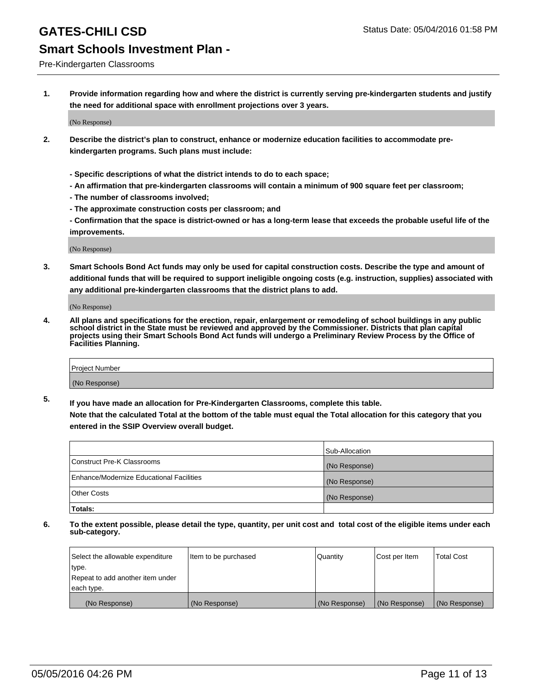#### Pre-Kindergarten Classrooms

**1. Provide information regarding how and where the district is currently serving pre-kindergarten students and justify the need for additional space with enrollment projections over 3 years.**

(No Response)

- **2. Describe the district's plan to construct, enhance or modernize education facilities to accommodate prekindergarten programs. Such plans must include:**
	- **Specific descriptions of what the district intends to do to each space;**
	- **An affirmation that pre-kindergarten classrooms will contain a minimum of 900 square feet per classroom;**
	- **The number of classrooms involved;**
	- **The approximate construction costs per classroom; and**
	- **Confirmation that the space is district-owned or has a long-term lease that exceeds the probable useful life of the improvements.**

(No Response)

**3. Smart Schools Bond Act funds may only be used for capital construction costs. Describe the type and amount of additional funds that will be required to support ineligible ongoing costs (e.g. instruction, supplies) associated with any additional pre-kindergarten classrooms that the district plans to add.**

(No Response)

**4. All plans and specifications for the erection, repair, enlargement or remodeling of school buildings in any public school district in the State must be reviewed and approved by the Commissioner. Districts that plan capital projects using their Smart Schools Bond Act funds will undergo a Preliminary Review Process by the Office of Facilities Planning.**

| Project Number |  |
|----------------|--|
| (No Response)  |  |

**5. If you have made an allocation for Pre-Kindergarten Classrooms, complete this table. Note that the calculated Total at the bottom of the table must equal the Total allocation for this category that you**

**entered in the SSIP Overview overall budget.**

| Totals:                                  |                |
|------------------------------------------|----------------|
| Other Costs                              | (No Response)  |
| Enhance/Modernize Educational Facilities | (No Response)  |
| Construct Pre-K Classrooms               | (No Response)  |
|                                          | Sub-Allocation |

| Select the allowable expenditure | Item to be purchased | Quantity      | Cost per Item | <b>Total Cost</b> |
|----------------------------------|----------------------|---------------|---------------|-------------------|
| type.                            |                      |               |               |                   |
| Repeat to add another item under |                      |               |               |                   |
| each type.                       |                      |               |               |                   |
| (No Response)                    | (No Response)        | (No Response) | (No Response) | (No Response)     |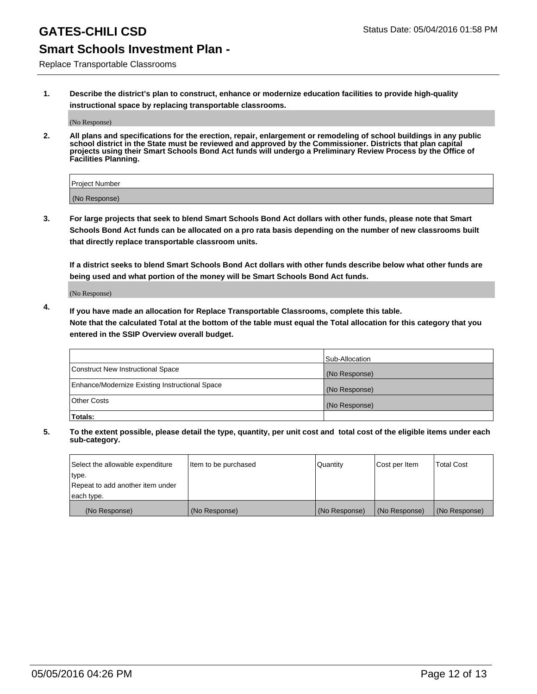### **GATES-CHILI CSD** Status Date: 05/04/2016 01:58 PM

### **Smart Schools Investment Plan -**

Replace Transportable Classrooms

**1. Describe the district's plan to construct, enhance or modernize education facilities to provide high-quality instructional space by replacing transportable classrooms.**

(No Response)

**2. All plans and specifications for the erection, repair, enlargement or remodeling of school buildings in any public school district in the State must be reviewed and approved by the Commissioner. Districts that plan capital projects using their Smart Schools Bond Act funds will undergo a Preliminary Review Process by the Office of Facilities Planning.**

| Project Number |  |
|----------------|--|
| (No Response)  |  |

**3. For large projects that seek to blend Smart Schools Bond Act dollars with other funds, please note that Smart Schools Bond Act funds can be allocated on a pro rata basis depending on the number of new classrooms built that directly replace transportable classroom units.**

**If a district seeks to blend Smart Schools Bond Act dollars with other funds describe below what other funds are being used and what portion of the money will be Smart Schools Bond Act funds.**

(No Response)

**4. If you have made an allocation for Replace Transportable Classrooms, complete this table. Note that the calculated Total at the bottom of the table must equal the Total allocation for this category that you entered in the SSIP Overview overall budget.**

|                                                | Sub-Allocation |
|------------------------------------------------|----------------|
| Construct New Instructional Space              | (No Response)  |
| Enhance/Modernize Existing Instructional Space | (No Response)  |
| <b>Other Costs</b>                             | (No Response)  |
| Totals:                                        |                |

| Select the allowable expenditure | Item to be purchased | <b>Quantity</b> | Cost per Item | <b>Total Cost</b> |
|----------------------------------|----------------------|-----------------|---------------|-------------------|
| type.                            |                      |                 |               |                   |
| Repeat to add another item under |                      |                 |               |                   |
| each type.                       |                      |                 |               |                   |
| (No Response)                    | (No Response)        | (No Response)   | (No Response) | (No Response)     |